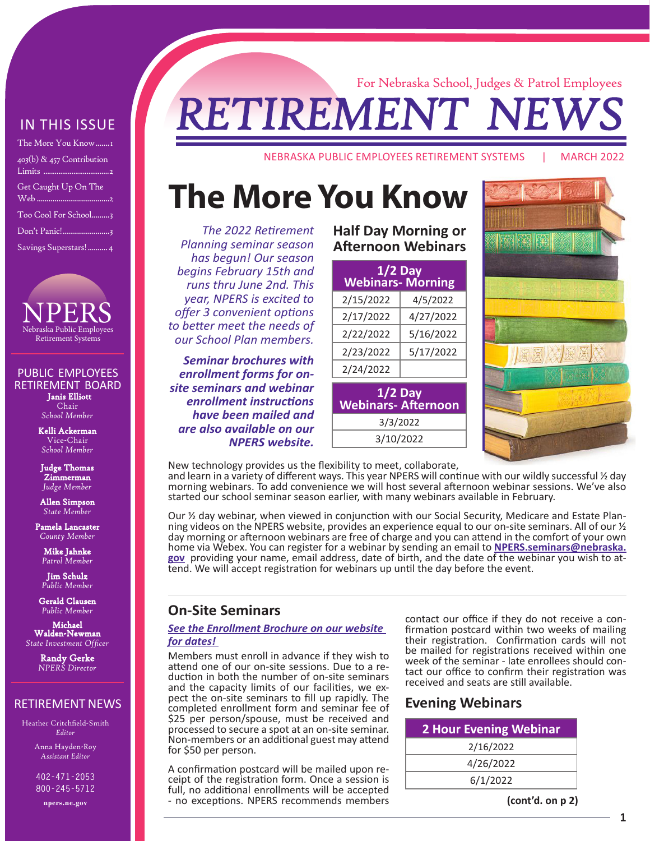#### IN THIS ISSUE

| The More You Know1        |
|---------------------------|
| 403(b) & 457 Contribution |
| Get Caught Up On The      |
| Too Cool For School3      |
|                           |
| Savings Superstars!4      |



#### Janis Elliott Chair *School Member* PUBLIC EMPLOYEES RETIREMENT BOARD

Kelli Ackerman Vice-Chair *School Member*

Judge Thomas Zimmerman *Judge Member*

Allen Simpson *State Member*

Pamela Lancaster *County Member*

> Mike Jahnke *Patrol Member*

Jim Schulz *Public Member*

Gerald Clausen *Public Member*

Michael Walden-Newman *State Investment Officer*

> Randy Gerke *NPERS Director*

#### RETIREMENT NEWS

Heather Critchfield-Smith *Editor*

> Anna Hayden-Roy *Assistant Editor*

**402-471-2053 800-245-5712**

**npers.ne.gov**

## For Nebraska School, Judges & Patrol Employees **RETIREMENT NE**

NEBRASKA PUBLIC EMPLOYEES RETIREMENT SYSTEMS | MARCH 2022

## **The More You Know**

*The 2022 Retirement Planning seminar season has begun! Our season begins February 15th and runs thru June 2nd. This year, NPERS is excited to offer 3 convenient options to better meet the needs of our School Plan members.* 

*Seminar brochures with enrollment forms for onsite seminars and webinar enrollment instructions have been mailed and are also available on our NPERS website.*

#### **Half Day Morning or Afternoon Webinars**

| $1/2$ Day<br><b>Webinars- Morning</b>  |           |  |  |  |
|----------------------------------------|-----------|--|--|--|
| 2/15/2022                              | 4/5/2022  |  |  |  |
| 2/17/2022                              | 4/27/2022 |  |  |  |
| 2/22/2022                              | 5/16/2022 |  |  |  |
| 2/23/2022                              | 5/17/2022 |  |  |  |
| 2/24/2022                              |           |  |  |  |
| $1/2$ Day<br><b>Webinars-Afternoon</b> |           |  |  |  |
| 3/3/2022                               |           |  |  |  |
| 3/10/2022                              |           |  |  |  |



New technology provides us the flexibility to meet, collaborate,

and learn in a variety of different ways. This year NPERS will continue with our wildly successful ½ day morning webinars. To add convenience we will host several afternoon webinar sessions. We've also started our school seminar season earlier, with many webinars available in February.

Our ½ day webinar, when viewed in conjunction with our Social Security, Medicare and Estate Plan-<br>ning videos on the NPERS website, provides an experience equal to our on-site seminars. All of our ½ day morning or afternoon webinars are free of charge and you can attend in the comfort of your own home via Webex. You can register for a webinar by sending an email to **[NPERS.seminars@nebraska.](mailto:NPERS.seminars%40nebraska.gov?subject=Retirement%20Webinar%20Registration) [gov](mailto:NPERS.seminars%40nebraska.gov?subject=Retirement%20Webinar%20Registration)** providing your name, email address, date of birth, and the date of the webinar you wish to at-<br>tend. We will accept registration for webinars up until the day before the event.

#### **On-Site Seminars**

#### *[See the Enrollment Brochure on our website](https://npers.ne.gov/SelfService/public/forms/membershipForms/SCSeminarBrochure2022.pdf)  [for dates!](https://npers.ne.gov/SelfService/public/forms/membershipForms/SCSeminarBrochure2022.pdf)*

Members must enroll in advance if they wish to<br>attend one of our on-site sessions. Due to a reduction in both the number of on-site seminars and the capacity limits of our facilities, we ex- pect the on-site seminars to fill up rapidly. The completed enrollment form and seminar fee of \$25 per person/spouse, must be received and processed to secure a spot at an on-site seminar. Non-members or an additional guest may attend for \$50 per person.

A confirmation postcard will be mailed upon re- ceipt of the registration form. Once a session is full, no additional enrollments will be accepted - no exceptions. NPERS recommends members

contact our office if they do not receive a con- firmation postcard within two weeks of mailing their registration. Confirmation cards will not be mailed for registrations received within one week of the seminar - late enrollees should contact our office to confirm their registration was received and seats are still available.

#### **Evening Webinars**

| <b>2 Hour Evening Webinar</b> |  |  |
|-------------------------------|--|--|
| 2/16/2022                     |  |  |
| 4/26/2022                     |  |  |
| 6/1/2022                      |  |  |
|                               |  |  |

**(cont'd. on p 2)**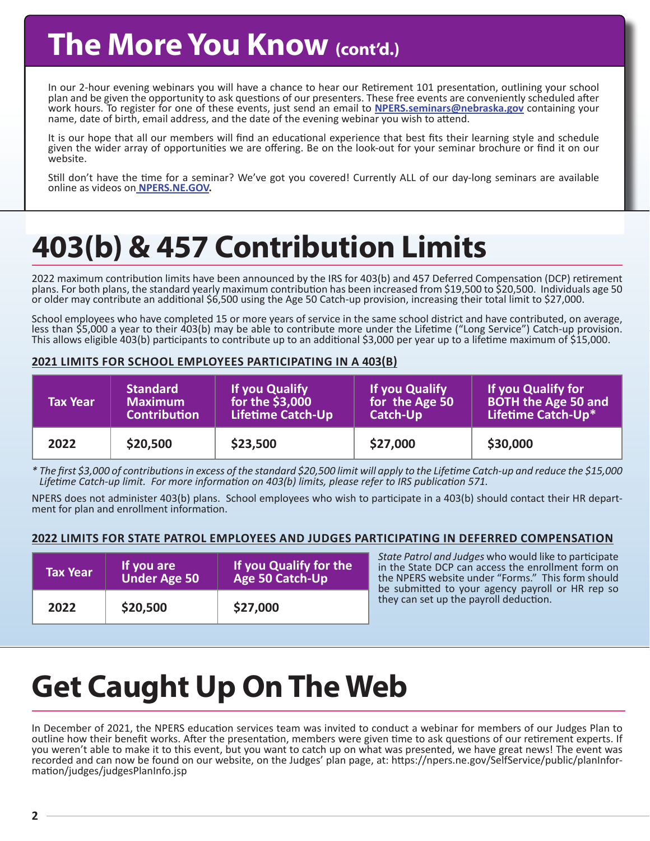## <span id="page-1-0"></span>**The More You Know (cont'd.)**

In our 2-hour evening webinars you will have a chance to hear our Retirement 101 presentation, outlining your school plan and be given the opportunity to ask questions of our presenters. These free events are conveniently scheduled after work hours. To register for one of these events, just send an email to **[NPERS.seminars@nebraska.gov](mailto:NPERS.seminars%40nebraska.gov?subject=Retirement%20Webinar%20Registration)** containing your name, date of birth, email address, and the date of the evening webinar you wish to attend.

It is our hope that all our members will find an educational experience that best fits their learning style and schedule given the wider array of opportunities we are offering. Be on the look-out for your seminar brochure or find it on our website.

Still don't have the time for a seminar? We've got you covered! Currently ALL of our day-long seminars are available online as videos on **[NPERS.NE.GOV.](http://NPERS.NE.GOV)**

## **403(b) & 457 Contribution Limits**

2022 maximum contribution limits have been announced by the IRS for 403(b) and 457 Deferred Compensation (DCP) retirement plans. For both plans, the standard yearly maximum contribution has been increased from \$19,500 to \$20,500. Individuals age 50 or older may contribute an additional \$6,500 using the Age 50 Catch-up provision, increasing their total limit to \$27,000.

School employees who have completed 15 or more years of service in the same school district and have contributed, on average, less than \$5,000 a year to their 403(b) may be able to contribute more under the Lifetime ("Long Service") Catch-up provision. This allows eligible 403(b) participants to contribute up to an additional \$3,000 per year up to a lifetime maximum of \$15,000.

#### **2021 LIMITS FOR SCHOOL EMPLOYEES PARTICIPATING IN A 403(B)**

| <b>Tax Year</b> | <b>Standard</b>     | If you Qualify           | If you Qualify  | <b>If you Qualify for</b>  |
|-----------------|---------------------|--------------------------|-----------------|----------------------------|
|                 | <b>Maximum</b>      | for the \$3,000          | for the Age 50  | <b>BOTH the Age 50 and</b> |
|                 | <b>Contribution</b> | <b>Lifetime Catch-Up</b> | <b>Catch-Up</b> | Lifetime Catch-Up*         |
| 2022            | \$20,500            | \$23,500                 | \$27,000        | \$30,000                   |

*\* The first \$3,000 of contributions in excess of the standard \$20,500 limit will apply to the Lifetime Catch-up and reduce the \$15,000 Lifetime Catch-up limit. For more information on 403(b) limits, please refer to IRS publication 571.*

NPERS does not administer 403(b) plans. School employees who wish to participate in a 403(b) should contact their HR depart- ment for plan and enrollment information.

#### **2022 LIMITS FOR STATE PATROL EMPLOYEES AND JUDGES PARTICIPATING IN DEFERRED COMPENSATION**

| <b>Tax Year</b> | If you are<br>Under Age 50 | If you Qualify for the<br><b>Age 50 Catch-Up</b> | State Patrol and Judges who would like to participate<br>in the State DCP can access the enrollment form on<br>the NPERS website under "Forms." This form should<br>be submitted to your agency payroll or HR rep so<br>they can set up the payroll deduction. |
|-----------------|----------------------------|--------------------------------------------------|----------------------------------------------------------------------------------------------------------------------------------------------------------------------------------------------------------------------------------------------------------------|
| 2022            | \$20,500                   | \$27,000                                         |                                                                                                                                                                                                                                                                |

## **Get Caught Up On The Web**

In December of 2021, the NPERS education services team was invited to conduct a webinar for members of our Judges Plan to outline how their benefit works. After the presentation, members were given time to ask questions of our retirement experts. If you weren't able to make it to this event, but you want to catch up on what was presented, we have great news! The event was recorded and can now be found on our website, on the Judges' plan page, at: https://npers.ne.gov/SelfService/public/planInfor-<br>mation/judges/judgesPlanInfo.jsp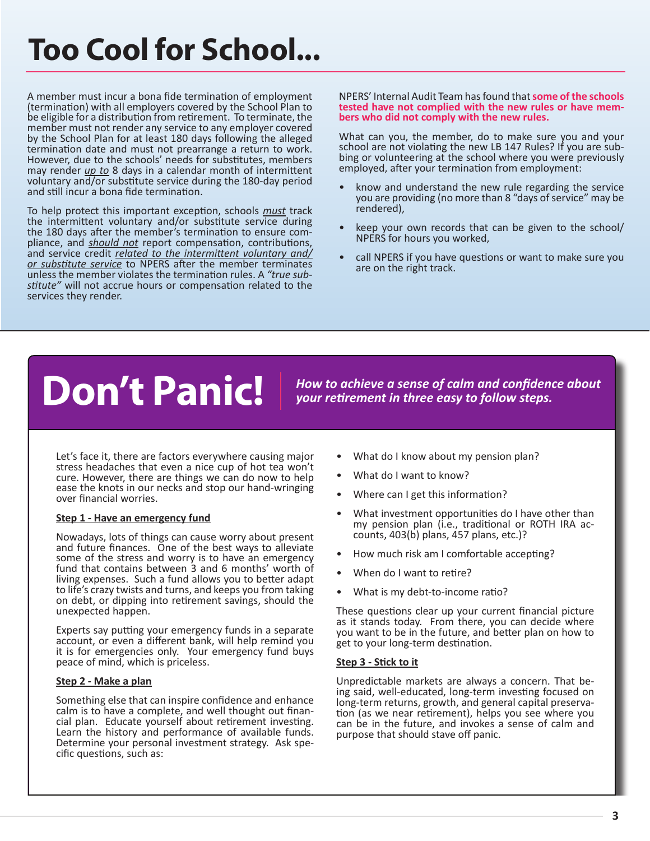## <span id="page-2-0"></span>**Too Cool for School...**

A member must incur a bona fide termination of employment (termination) with all employers covered by the School Plan to be eligible for a distribution from retirement. To terminate, the member must not render any service to any employer covered by the School Plan for at least 180 days following the alleged termination date and must not prearrange a return to work. However, due to the schools' needs for substitutes, members may render *up to* 8 days in a calendar month of intermittent voluntary and/or substitute service during the 180-day period and still incur a bona fide termination.

To help protect this important exception, schools *must* track the intermittent voluntary and/or substitute service during<br>the 180 days after the member's termination to ensure compliance, and **should not** report compensation, contributions, and service credit *related to the intermittent voluntary and/ <u>or substitute service</u>* to NPERS after the member terminates unless the member violates the termination rules. A "true substitute" will not accrue hours or compensation related to the services they render.

NPERS' Internal Audit Team has found that **some of the schools tested have not complied with the new rules or have mem- bers who did not comply with the new rules.**

What can you, the member, do to make sure you and your school are not violating the new LB 147 Rules? If you are subbing or volunteering at the school where you were previously employed, after your termination from employment:

- know and understand the new rule regarding the service you are providing (no more than 8 "days of service" may be rendered),
- keep your own records that can be given to the school/ NPERS for hours you worked,
- call NPERS if you have questions or want to make sure you are on the right track.

# **Don't Panic!**

*How to achieve a sense of calm and confidence about your retirement in three easy to follow steps.*

Let's face it, there are factors everywhere causing major stress headaches that even a nice cup of hot tea won't cure. However, there are things we can do now to help ease the knots in our necks and stop our hand-wringing over financial worries.

#### **Step 1 - Have an emergency fund**

Nowadays, lots of things can cause worry about present and future finances. One of the best ways to alleviate some of the stress and worry is to have an emergency fund that contains between 3 and 6 months' worth of living expenses. Such a fund allows you to better adapt to life's crazy twists and turns, and keeps you from taking on debt, or dipping into retirement savings, should the unexpected happen.

Experts say putting your emergency funds in a separate account, or even a different bank, will help remind you it is for emergencies only. Your emergency fund buys peace of mind, which is priceless.

#### **Step 2 - Make a plan**

Something else that can inspire confidence and enhance calm is to have a complete, and well thought out financial plan. Educate yourself about retirement investing. Learn the history and performance of available funds. Determine your personal investment strategy. Ask spe-<br>cific questions, such as:

- What do I know about my pension plan?
- What do I want to know?
- Where can I get this information?
- What investment opportunities do I have other than my pension plan (i.e., traditional or ROTH IRA ac- counts, 403(b) plans, 457 plans, etc.)?
- How much risk am I comfortable accepting?
- When do I want to retire?
- What is my debt-to-income ratio?

These questions clear up your current financial picture as it stands today. From there, you can decide where you want to be in the future, and better plan on how to get to your long-term destination.

#### **Step 3 - Stick to it**

Unpredictable markets are always a concern. That be-<br>ing said, well-educated, long-term investing focused on<br>long-term returns, growth, and general capital preservation (as we near retirement), helps you see where you can be in the future, and invokes a sense of calm and purpose that should stave off panic.